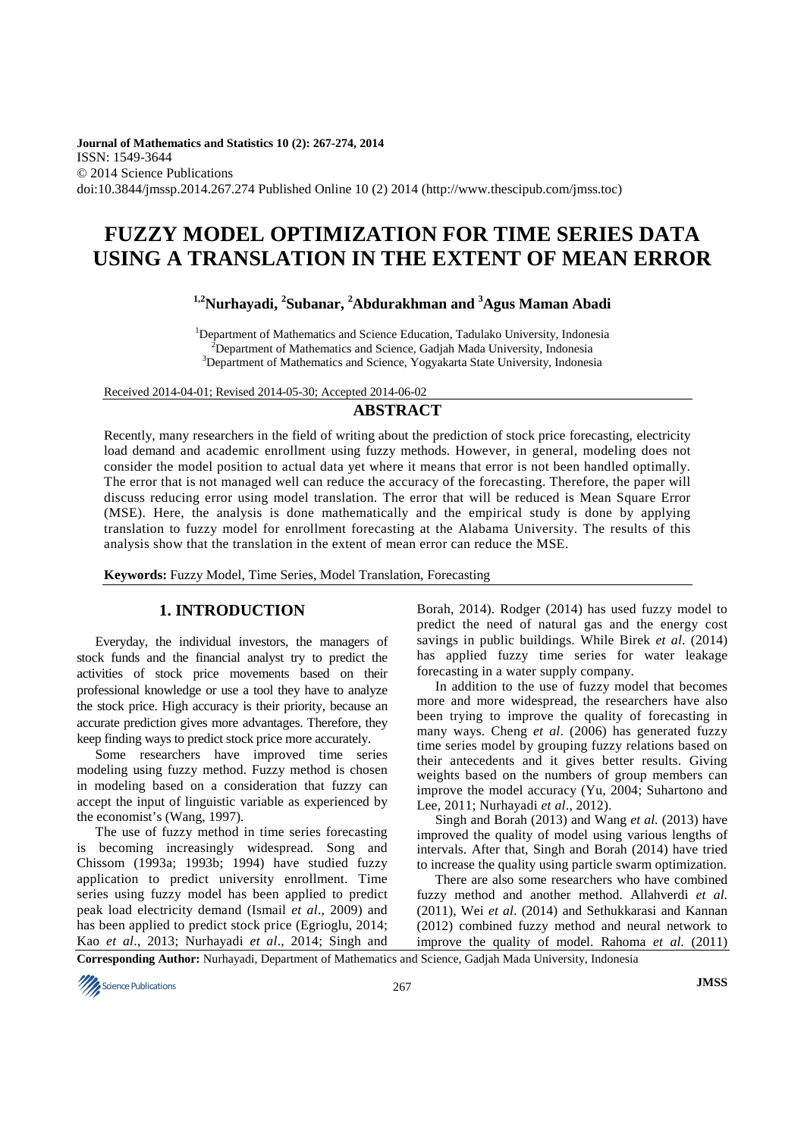**Journal of Mathematics and Statistics 10 (2): 267-274, 2014**  ISSN: 1549-3644 © 2014 Science Publications doi:10.3844/jmssp.2014.267.274 Published Online 10 (2) 2014 (http://www.thescipub.com/jmss.toc)

# **FUZZY MODEL OPTIMIZATION FOR TIME SERIES DATA USING A TRANSLATION IN THE EXTENT OF MEAN ERROR**

# **1,2Nurhayadi, <sup>2</sup> Subanar, <sup>2</sup>Abdurakhman and <sup>3</sup>Agus Maman Abadi**

<sup>1</sup>Department of Mathematics and Science Education, Tadulako University, Indonesia  $2D$ epartment of Mathematics and Science, Gadjah Mada University, Indonesia <sup>3</sup>Department of Mathematics and Science, Yogyakarta State University, Indonesia

Received 2014-04-01; Revised 2014-05-30; Accepted 2014-06-02

#### **ABSTRACT**

Recently, many researchers in the field of writing about the prediction of stock price forecasting, electricity load demand and academic enrollment using fuzzy methods. However, in general, modeling does not consider the model position to actual data yet where it means that error is not been handled optimally. The error that is not managed well can reduce the accuracy of the forecasting. Therefore, the paper will discuss reducing error using model translation. The error that will be reduced is Mean Square Error (MSE). Here, the analysis is done mathematically and the empirical study is done by applying translation to fuzzy model for enrollment forecasting at the Alabama University. The results of this analysis show that the translation in the extent of mean error can reduce the MSE.

**Keywords:** Fuzzy Model, Time Series, Model Translation, Forecasting

## **1. INTRODUCTION**

Everyday, the individual investors, the managers of stock funds and the financial analyst try to predict the activities of stock price movements based on their professional knowledge or use a tool they have to analyze the stock price. High accuracy is their priority, because an accurate prediction gives more advantages. Therefore, they keep finding ways to predict stock price more accurately.

Some researchers have improved time series modeling using fuzzy method. Fuzzy method is chosen in modeling based on a consideration that fuzzy can accept the input of linguistic variable as experienced by the economist's (Wang, 1997).

The use of fuzzy method in time series forecasting is becoming increasingly widespread. Song and Chissom (1993a; 1993b; 1994) have studied fuzzy application to predict university enrollment. Time series using fuzzy model has been applied to predict peak load electricity demand (Ismail *et al*., 2009) and has been applied to predict stock price (Egrioglu, 2014; Kao *et al*., 2013; Nurhayadi *et al*., 2014; Singh and

Borah, 2014). Rodger (2014) has used fuzzy model to predict the need of natural gas and the energy cost savings in public buildings. While Birek *et al*. (2014) has applied fuzzy time series for water leakage forecasting in a water supply company.

In addition to the use of fuzzy model that becomes more and more widespread, the researchers have also been trying to improve the quality of forecasting in many ways. Cheng *et al*. (2006) has generated fuzzy time series model by grouping fuzzy relations based on their antecedents and it gives better results. Giving weights based on the numbers of group members can improve the model accuracy (Yu, 2004; Suhartono and Lee, 2011; Nurhayadi *et al*., 2012).

Singh and Borah (2013) and Wang *et al*. (2013) have improved the quality of model using various lengths of intervals. After that, Singh and Borah (2014) have tried to increase the quality using particle swarm optimization.

There are also some researchers who have combined fuzzy method and another method. Allahverdi *et al*. (2011), Wei *et al*. (2014) and Sethukkarasi and Kannan (2012) combined fuzzy method and neural network to improve the quality of model. Rahoma *et al*. (2011)

**Corresponding Author:** Nurhayadi, Department of Mathematics and Science, Gadjah Mada University, Indonesia

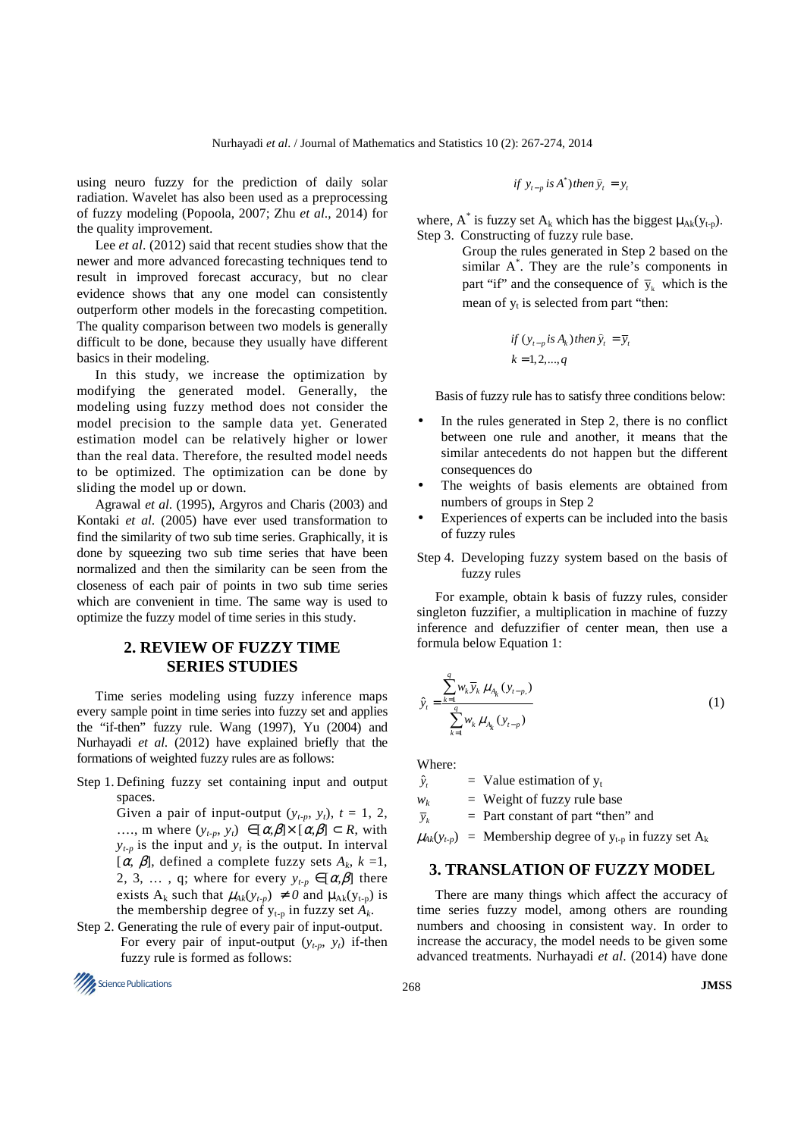using neuro fuzzy for the prediction of daily solar radiation. Wavelet has also been used as a preprocessing of fuzzy modeling (Popoola, 2007; Zhu *et al*., 2014) for the quality improvement.

Lee *et al*. (2012) said that recent studies show that the newer and more advanced forecasting techniques tend to result in improved forecast accuracy, but no clear evidence shows that any one model can consistently outperform other models in the forecasting competition. The quality comparison between two models is generally difficult to be done, because they usually have different basics in their modeling.

In this study, we increase the optimization by modifying the generated model. Generally, the modeling using fuzzy method does not consider the model precision to the sample data yet. Generated estimation model can be relatively higher or lower than the real data. Therefore, the resulted model needs to be optimized. The optimization can be done by sliding the model up or down.

Agrawal *et al*. (1995), Argyros and Charis (2003) and Kontaki *et al*. (2005) have ever used transformation to find the similarity of two sub time series. Graphically, it is done by squeezing two sub time series that have been normalized and then the similarity can be seen from the closeness of each pair of points in two sub time series which are convenient in time. The same way is used to optimize the fuzzy model of time series in this study.

# **2. REVIEW OF FUZZY TIME SERIES STUDIES**

Time series modeling using fuzzy inference maps every sample point in time series into fuzzy set and applies the "if-then" fuzzy rule. Wang (1997), Yu (2004) and Nurhayadi *et al*. (2012) have explained briefly that the formations of weighted fuzzy rules are as follows:

Step 1. Defining fuzzy set containing input and output spaces.

> Given a pair of input-output  $(y_{t-p}, y_t)$ ,  $t = 1, 2$ , ...., m where  $(y_{t-p}, y_t) \in [\alpha, \beta] \times [\alpha, \beta] \subset R$ , with  $y_{t-p}$  is the input and  $y_t$  is the output. In interval [ $\alpha$ ,  $\beta$ ], defined a complete fuzzy sets  $A_k$ ,  $k = 1$ , 2, 3, ..., q; where for every  $y_{t-p} \in [\alpha, \beta]$  there exists A<sub>k</sub> such that  $\mu_{Ak}(y_{t-p}) \neq 0$  and  $\mu_{Ak}(y_{t-p})$  is the membership degree of  $y_{t-p}$  in fuzzy set  $A_k$ .

Step 2. Generating the rule of every pair of input-output. For every pair of input-output  $(y_{t-p}, y_t)$  if-then fuzzy rule is formed as follows:



$$
if y_{t-p} is A^*) then \hat{y}_t = y_t
$$

where, A<sup>\*</sup> is fuzzy set A<sub>k</sub> which has the biggest  $\mu_{Ak}(y_{t-p})$ . Step 3. Constructing of fuzzy rule base.

> Group the rules generated in Step 2 based on the similar A\* . They are the rule's components in part "if" and the consequence of  $\bar{y}_k$  which is the mean of  $y_t$  is selected from part "then:

if 
$$
(y_{t-p} \text{ is } A_k)
$$
 then  $\hat{y}_t = \overline{y}_t$   
\n $k = 1, 2, ..., q$ 

Basis of fuzzy rule has to satisfy three conditions below:

- In the rules generated in Step 2, there is no conflict between one rule and another, it means that the similar antecedents do not happen but the different consequences do
- The weights of basis elements are obtained from numbers of groups in Step 2
- Experiences of experts can be included into the basis of fuzzy rules
- Step 4. Developing fuzzy system based on the basis of fuzzy rules

For example, obtain k basis of fuzzy rules, consider singleton fuzzifier, a multiplication in machine of fuzzy inference and defuzzifier of center mean, then use a formula below Equation 1:

$$
\hat{y}_t = \frac{\sum_{k=1}^q w_k \, \overline{y}_k \, \mu_{A_k} \, (y_{t-p_1})}{\sum_{k=1}^q w_k \, \mu_{A_k} \, (y_{t-p})} \tag{1}
$$

Where:

ˆ *t*  $\hat{y}_t$  = Value estimation of  $y_t$ 

 $w_k$  = Weight of fuzzy rule base

 $\overline{y}_k$ *y* = Part constant of part "then" and

 $\mu_{A_k}(y_{t,n})$  = Membership degree of  $y_{t,n}$  in fuzzy set  $A_k$ 

## **3. TRANSLATION OF FUZZY MODEL**

There are many things which affect the accuracy of time series fuzzy model, among others are rounding numbers and choosing in consistent way. In order to increase the accuracy, the model needs to be given some advanced treatments. Nurhayadi *et al*. (2014) have done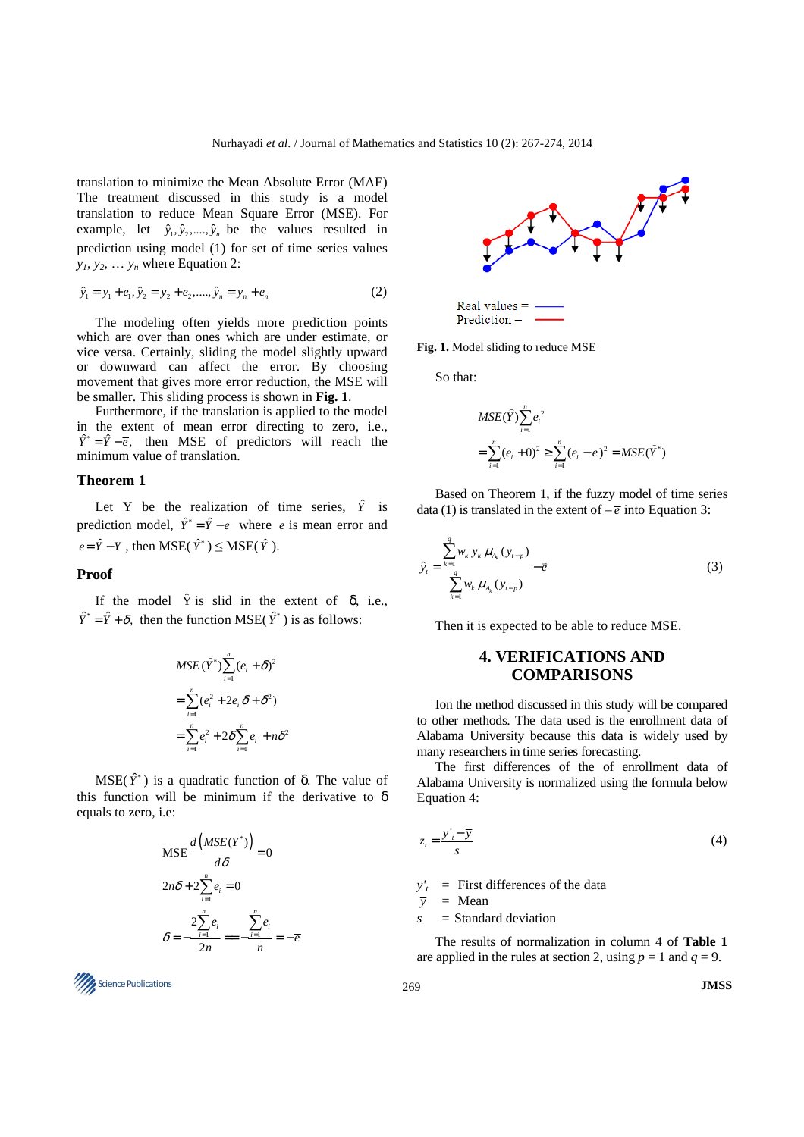translation to minimize the Mean Absolute Error (MAE) The treatment discussed in this study is a model translation to reduce Mean Square Error (MSE). For example, let  $\hat{y}_1, \hat{y}_2, ..., \hat{y}_n$  be the values resulted in prediction using model (1) for set of time series values  $y_1, y_2, \ldots, y_n$  where Equation 2:

$$
\hat{y}_1 = y_1 + e_1, \hat{y}_2 = y_2 + e_2, \dots, \hat{y}_n = y_n + e_n \tag{2}
$$

The modeling often yields more prediction points which are over than ones which are under estimate, or vice versa. Certainly, sliding the model slightly upward or downward can affect the error. By choosing movement that gives more error reduction, the MSE will be smaller. This sliding process is shown in **Fig. 1**.

Furthermore, if the translation is applied to the model in the extent of mean error directing to zero, i.e.,  $\hat{Y}^* = \hat{Y} - \overline{e}$ , then MSE of predictors will reach the minimum value of translation.

#### **Theorem 1**

Ï

Let Y be the realization of time series,  $\hat{Y}$  is prediction model,  $\hat{Y}^* = \hat{Y} - \overline{e}$  where  $\overline{e}$  is mean error and  $e = \hat{Y} - Y$ , then MSE( $\hat{Y}^*$ ) ≤ MSE( $\hat{Y}$ ).

#### **Proof**

If the model  $\hat{Y}$  is slid in the extent of  $\delta$ , i.e.,  $\hat{Y}^* = \hat{Y} + \delta$ , then the function MSE( $\hat{Y}^*$ ) is as follows:

$$
MSE(\hat{Y}^*)\sum_{i=1}^n (e_i + \delta)^2
$$
  
= 
$$
\sum_{i=1}^n (e_i^2 + 2e_i \delta + \delta^2)
$$
  
= 
$$
\sum_{i=1}^n e_i^2 + 2\delta \sum_{i=1}^n e_i + n\delta^2
$$

MSE( $\hat{Y}^*$ ) is a quadratic function of δ. The value of this function will be minimum if the derivative to  $\delta$ equals to zero, i.e:

$$
\text{MSE} \frac{d\left(MSE(Y^*)\right)}{d\delta} = 0
$$
\n
$$
2n\delta + 2\sum_{i=1}^{n} e_i = 0
$$
\n
$$
\delta = -\frac{2\sum_{i=1}^{n} e_i}{2n} = -\frac{\sum_{i=1}^{n} e_i}{n} = -\overline{e}
$$





Real values  $=$  $Prediction =$ 

**Fig. 1.** Model sliding to reduce MSE

So that:

$$
MSE(\hat{Y}) \sum_{i=1}^{n} e_i^2
$$
  
=  $\sum_{i=1}^{n} (e_i + 0)^2 \ge \sum_{i=1}^{n} (e_i - \overline{e})^2 = MSE(\hat{Y}^*)$ 

Based on Theorem 1, if the fuzzy model of time series data (1) is translated in the extent of  $-\overline{e}$  into Equation 3:

$$
\hat{y}_t = \frac{\sum_{k=1}^q w_k \ \overline{y}_k \ \mu_{A_k} \left( y_{t-p} \right)}{\sum_{k=1}^q w_k \ \mu_{A_k} \left( y_{t-p} \right)} - \bar{e}
$$
\n(3)

Then it is expected to be able to reduce MSE.

# **4. VERIFICATIONS AND COMPARISONS**

Ion the method discussed in this study will be compared to other methods. The data used is the enrollment data of Alabama University because this data is widely used by many researchers in time series forecasting.

The first differences of the of enrollment data of Alabama University is normalized using the formula below Equation 4:

$$
z_t = \frac{y_t - \overline{y}}{s} \tag{4}
$$

 $y'_t$  = First differences of the data

 $\overline{v}$  = Mean

*s* = Standard deviation

The results of normalization in column 4 of **Table 1** are applied in the rules at section 2, using  $p = 1$  and  $q = 9$ .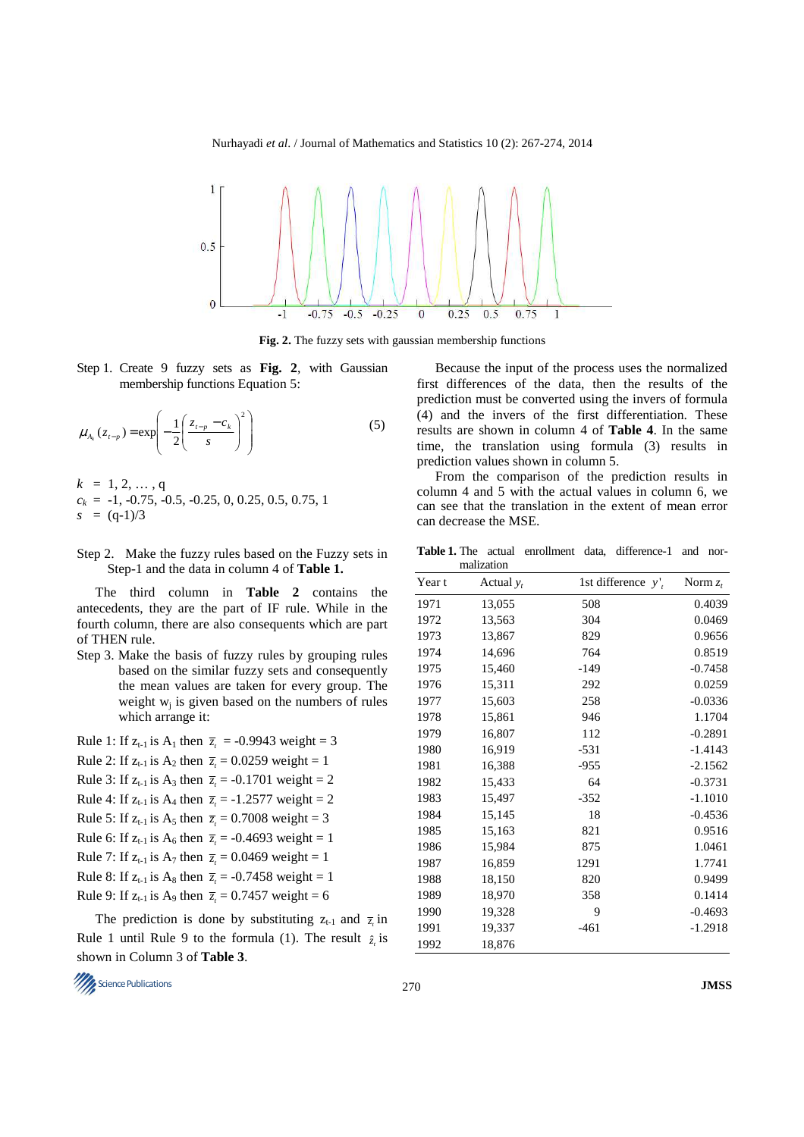Nurhayadi *et al*. / Journal of Mathematics and Statistics 10 (2): 267-274, 2014



**Fig. 2.** The fuzzy sets with gaussian membership functions

Step 1. Create 9 fuzzy sets as **Fig. 2**, with Gaussian membership functions Equation 5:

$$
\mu_{A_k}(z_{t-p}) = \exp\left(-\frac{1}{2}\left(\frac{z_{t-p} - c_k}{s}\right)^2\right)
$$
 (5)

- $k = 1, 2, ..., q$  $c_k = -1, -0.75, -0.5, -0.25, 0, 0.25, 0.5, 0.75, 1$  $s = (q-1)/3$
- Step 2. Make the fuzzy rules based on the Fuzzy sets in Step-1 and the data in column 4 of **Table 1.**

The third column in **Table 2** contains the antecedents, they are the part of IF rule. While in the fourth column, there are also consequents which are part of THEN rule.

Step 3. Make the basis of fuzzy rules by grouping rules based on the similar fuzzy sets and consequently the mean values are taken for every group. The weight  $w_j$  is given based on the numbers of rules which arrange it:

| Rule 1: If $z_{t-1}$ is $A_1$ then $\overline{z}_t = -0.9943$ weight = 3         |
|----------------------------------------------------------------------------------|
| Rule 2: If $z_{t-1}$ is $A_2$ then $\overline{z}_t = 0.0259$ weight = 1          |
| Rule 3: If $z_{t-1}$ is $A_3$ then $\overline{z}_t = -0.1701$ weight = 2         |
| Rule 4: If $z_{t-1}$ is $A_4$ then $\bar{z}_t = -1.2577$ weight = 2              |
| Rule 5: If $z_{t-1}$ is A <sub>5</sub> then $\overline{z}_t = 0.7008$ weight = 3 |
| Rule 6: If $z_{t-1}$ is $A_6$ then $\bar{z}_t = -0.4693$ weight = 1              |
| Rule 7: If $z_{t-1}$ is $A_7$ then $\overline{z}_t = 0.0469$ weight = 1          |
| Rule 8: If $z_{t-1}$ is $A_8$ then $\bar{z}_t = -0.7458$ weight = 1              |
| Rule 9: If $z_{t-1}$ is A <sub>9</sub> then $\overline{z}_t = 0.7457$ weight = 6 |
|                                                                                  |

The prediction is done by substituting  $z_{t-1}$  and  $\overline{z}_t$  in Rule 1 until Rule 9 to the formula (1). The result  $\hat{z}_i$  is shown in Column 3 of **Table 3**.

Because the input of the process uses the normalized first differences of the data, then the results of the prediction must be converted using the invers of formula (4) and the invers of the first differentiation. These results are shown in column 4 of **Table 4**. In the same time, the translation using formula (3) results in prediction values shown in column 5.

From the comparison of the prediction results in column 4 and 5 with the actual values in column 6, we can see that the translation in the extent of mean error can decrease the MSE.

Table 1. The actual enrollment data, difference-1 and normalization

| Year t | Actual $y_t$ | 1st difference $y'$ | Norm $z_t$ |
|--------|--------------|---------------------|------------|
| 1971   | 13,055       | 508                 | 0.4039     |
| 1972   | 13,563       | 304                 | 0.0469     |
| 1973   | 13,867       | 829                 | 0.9656     |
| 1974   | 14,696       | 764                 | 0.8519     |
| 1975   | 15,460       | $-149$              | $-0.7458$  |
| 1976   | 15,311       | 292                 | 0.0259     |
| 1977   | 15,603       | 258                 | $-0.0336$  |
| 1978   | 15,861       | 946                 | 1.1704     |
| 1979   | 16,807       | 112                 | $-0.2891$  |
| 1980   | 16,919       | $-531$              | $-1.4143$  |
| 1981   | 16,388       | $-955$              | $-2.1562$  |
| 1982   | 15,433       | 64                  | $-0.3731$  |
| 1983   | 15,497       | $-352$              | $-1.1010$  |
| 1984   | 15,145       | 18                  | $-0.4536$  |
| 1985   | 15,163       | 821                 | 0.9516     |
| 1986   | 15,984       | 875                 | 1.0461     |
| 1987   | 16,859       | 1291                | 1.7741     |
| 1988   | 18,150       | 820                 | 0.9499     |
| 1989   | 18,970       | 358                 | 0.1414     |
| 1990   | 19,328       | 9                   | $-0.4693$  |
| 1991   | 19,337       | $-461$              | $-1.2918$  |
| 1992   | 18,876       |                     |            |

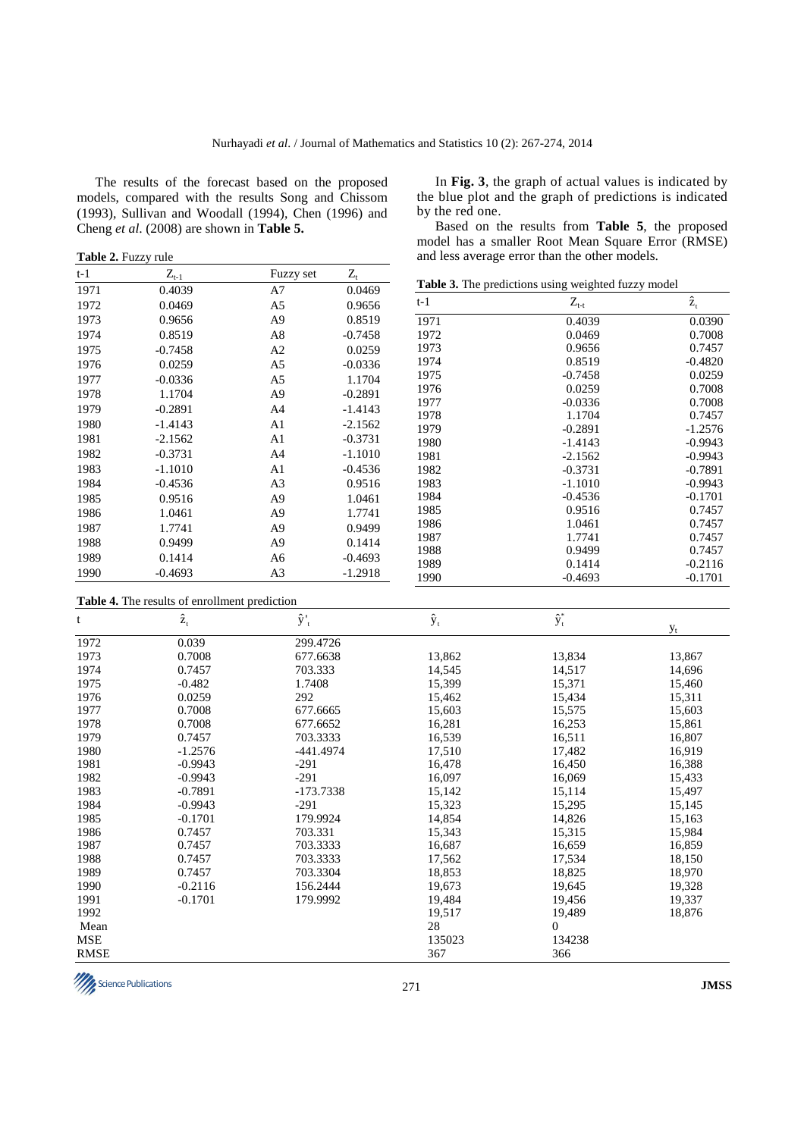The results of the forecast based on the proposed models, compared with the results Song and Chissom (1993), Sullivan and Woodall (1994), Chen (1996) and Cheng *et al*. (2008) are shown in **Table 5.** 

**Table 2.** Fuzzy rule

| t-1  | $Z_{\ensuremath{\text{t-1}}}$ | Fuzzy set      | $Z_{\scriptscriptstyle \mathrm{t}}$ |
|------|-------------------------------|----------------|-------------------------------------|
| 1971 | 0.4039                        | A7             | 0.0469                              |
| 1972 | 0.0469                        | A <sub>5</sub> | 0.9656                              |
| 1973 | 0.9656                        | A <sub>9</sub> | 0.8519                              |
| 1974 | 0.8519                        | A8             | $-0.7458$                           |
| 1975 | $-0.7458$                     | A <sub>2</sub> | 0.0259                              |
| 1976 | 0.0259                        | A <sub>5</sub> | $-0.0336$                           |
| 1977 | $-0.0336$                     | A <sub>5</sub> | 1.1704                              |
| 1978 | 1.1704                        | A <sub>9</sub> | $-0.2891$                           |
| 1979 | $-0.2891$                     | A <sub>4</sub> | $-1.4143$                           |
| 1980 | $-1.4143$                     | A <sub>1</sub> | $-2.1562$                           |
| 1981 | $-2.1562$                     | A <sub>1</sub> | $-0.3731$                           |
| 1982 | $-0.3731$                     | A <sub>4</sub> | $-1.1010$                           |
| 1983 | $-1.1010$                     | A <sub>1</sub> | $-0.4536$                           |
| 1984 | $-0.4536$                     | A <sub>3</sub> | 0.9516                              |
| 1985 | 0.9516                        | A <sub>9</sub> | 1.0461                              |
| 1986 | 1.0461                        | A <sub>9</sub> | 1.7741                              |
| 1987 | 1.7741                        | A <sub>9</sub> | 0.9499                              |
| 1988 | 0.9499                        | A <sub>9</sub> | 0.1414                              |
| 1989 | 0.1414                        | A <sub>6</sub> | $-0.4693$                           |
| 1990 | $-0.4693$                     | A <sub>3</sub> | $-1.2918$                           |

In **Fig. 3**, the graph of actual values is indicated by the blue plot and the graph of predictions is indicated by the red one.

Based on the results from **Table 5**, the proposed model has a smaller Root Mean Square Error (RMSE) and less average error than the other models.

**Table 3.** The predictions using weighted fuzzy model

| t-1  | $Z_{t-t}$ | $\hat{\mathbf{z}}_{\mathrm{t}}$ |
|------|-----------|---------------------------------|
| 1971 | 0.4039    | 0.0390                          |
| 1972 | 0.0469    | 0.7008                          |
| 1973 | 0.9656    | 0.7457                          |
| 1974 | 0.8519    | $-0.4820$                       |
| 1975 | $-0.7458$ | 0.0259                          |
| 1976 | 0.0259    | 0.7008                          |
| 1977 | $-0.0336$ | 0.7008                          |
| 1978 | 1.1704    | 0.7457                          |
| 1979 | $-0.2891$ | $-1.2576$                       |
| 1980 | $-1.4143$ | $-0.9943$                       |
| 1981 | $-2.1562$ | $-0.9943$                       |
| 1982 | $-0.3731$ | $-0.7891$                       |
| 1983 | $-1.1010$ | $-0.9943$                       |
| 1984 | $-0.4536$ | $-0.1701$                       |
| 1985 | 0.9516    | 0.7457                          |
| 1986 | 1.0461    | 0.7457                          |
| 1987 | 1.7741    | 0.7457                          |
| 1988 | 0.9499    | 0.7457                          |
| 1989 | 0.1414    | $-0.2116$                       |
| 1990 | $-0.4693$ | $-0.1701$                       |

**Table 4.** The results of enrollment prediction

| t           | $\hat{\textbf{z}}_{\text{t}}$ | $\hat{y}$ ' <sub>t</sub> | $\hat{y}_t$ | $\hat{\textbf{y}}_t^*$ |        |
|-------------|-------------------------------|--------------------------|-------------|------------------------|--------|
| 1972        | 0.039                         | 299.4726                 |             |                        | $y_t$  |
| 1973        | 0.7008                        | 677.6638                 | 13,862      | 13,834                 | 13,867 |
| 1974        | 0.7457                        | 703.333                  | 14,545      | 14,517                 | 14,696 |
| 1975        | $-0.482$                      | 1.7408                   | 15,399      | 15,371                 | 15,460 |
| 1976        | 0.0259                        | 292                      | 15,462      | 15,434                 | 15,311 |
| 1977        | 0.7008                        | 677.6665                 | 15,603      | 15,575                 | 15,603 |
| 1978        | 0.7008                        | 677.6652                 | 16,281      | 16,253                 | 15,861 |
| 1979        | 0.7457                        | 703.3333                 | 16,539      | 16,511                 | 16,807 |
| 1980        | $-1.2576$                     | $-441.4974$              | 17,510      | 17,482                 | 16,919 |
| 1981        | $-0.9943$                     | $-291$                   | 16,478      | 16,450                 | 16,388 |
| 1982        | $-0.9943$                     | $-291$                   | 16,097      | 16,069                 | 15,433 |
| 1983        | $-0.7891$                     | $-173.7338$              | 15,142      | 15,114                 | 15,497 |
| 1984        | $-0.9943$                     | $-291$                   | 15,323      | 15,295                 | 15,145 |
| 1985        | $-0.1701$                     | 179.9924                 | 14,854      | 14,826                 | 15,163 |
| 1986        | 0.7457                        | 703.331                  | 15,343      | 15,315                 | 15,984 |
| 1987        | 0.7457                        | 703.3333                 | 16,687      | 16,659                 | 16,859 |
| 1988        | 0.7457                        | 703.3333                 | 17,562      | 17,534                 | 18,150 |
| 1989        | 0.7457                        | 703.3304                 | 18,853      | 18,825                 | 18,970 |
| 1990        | $-0.2116$                     | 156.2444                 | 19,673      | 19,645                 | 19,328 |
| 1991        | $-0.1701$                     | 179.9992                 | 19,484      | 19,456                 | 19,337 |
| 1992        |                               |                          | 19,517      | 19,489                 | 18,876 |
| Mean        |                               |                          | 28          | $\Omega$               |        |
| <b>MSE</b>  |                               |                          | 135023      | 134238                 |        |
| <b>RMSE</b> |                               |                          | 367         | 366                    |        |

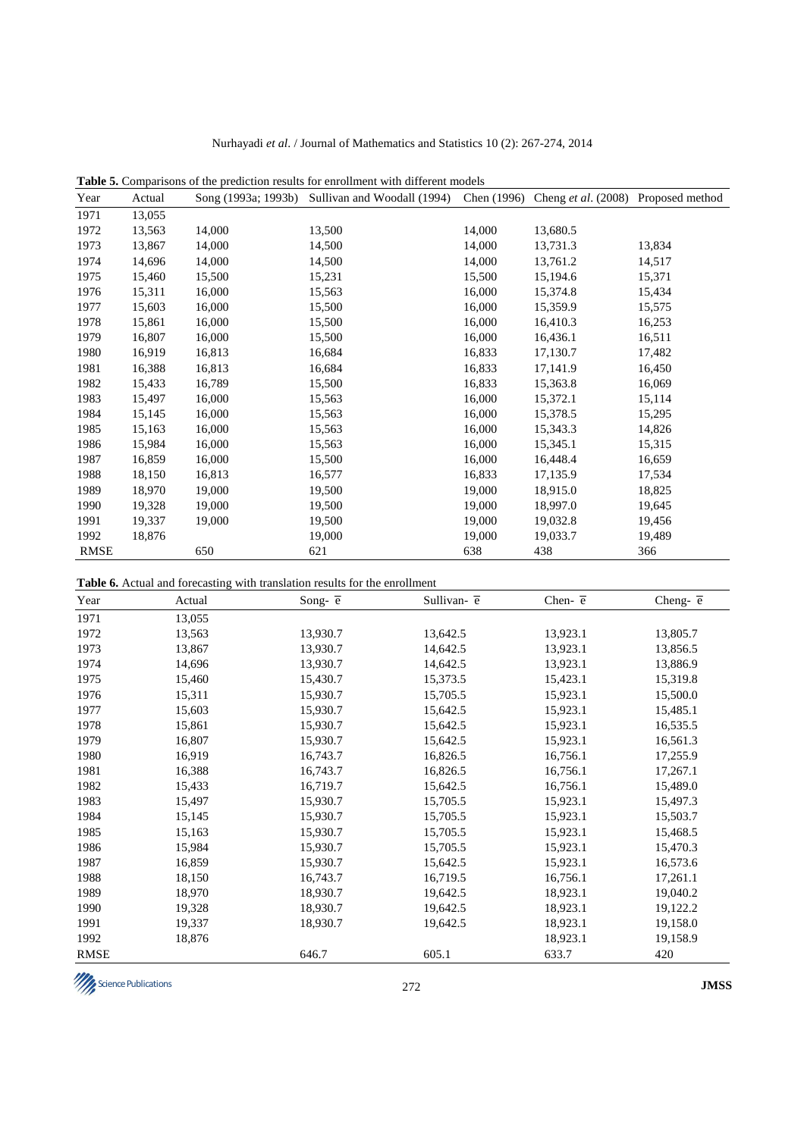| Year        | Actual | Song (1993a; 1993b) | Sullivan and Woodall (1994) | Chen (1996) | Cheng et al. (2008) Proposed method |        |
|-------------|--------|---------------------|-----------------------------|-------------|-------------------------------------|--------|
| 1971        | 13,055 |                     |                             |             |                                     |        |
| 1972        | 13,563 | 14,000              | 13,500                      | 14,000      | 13,680.5                            |        |
| 1973        | 13,867 | 14,000              | 14,500                      | 14,000      | 13,731.3                            | 13,834 |
| 1974        | 14,696 | 14,000              | 14,500                      | 14,000      | 13,761.2                            | 14,517 |
| 1975        | 15,460 | 15,500              | 15,231                      | 15,500      | 15,194.6                            | 15,371 |
| 1976        | 15,311 | 16,000              | 15,563                      | 16,000      | 15,374.8                            | 15,434 |
| 1977        | 15,603 | 16,000              | 15,500                      | 16,000      | 15,359.9                            | 15,575 |
| 1978        | 15,861 | 16,000              | 15,500                      | 16,000      | 16,410.3                            | 16,253 |
| 1979        | 16,807 | 16,000              | 15,500                      | 16,000      | 16,436.1                            | 16,511 |
| 1980        | 16,919 | 16,813              | 16,684                      | 16,833      | 17,130.7                            | 17,482 |
| 1981        | 16,388 | 16,813              | 16,684                      | 16,833      | 17,141.9                            | 16,450 |
| 1982        | 15,433 | 16,789              | 15,500                      | 16,833      | 15,363.8                            | 16,069 |
| 1983        | 15,497 | 16,000              | 15,563                      | 16,000      | 15,372.1                            | 15,114 |
| 1984        | 15,145 | 16,000              | 15,563                      | 16,000      | 15,378.5                            | 15,295 |
| 1985        | 15,163 | 16,000              | 15,563                      | 16,000      | 15,343.3                            | 14,826 |
| 1986        | 15,984 | 16,000              | 15,563                      | 16,000      | 15,345.1                            | 15,315 |
| 1987        | 16,859 | 16,000              | 15,500                      | 16,000      | 16,448.4                            | 16,659 |
| 1988        | 18,150 | 16,813              | 16,577                      | 16,833      | 17,135.9                            | 17,534 |
| 1989        | 18,970 | 19,000              | 19,500                      | 19,000      | 18,915.0                            | 18,825 |
| 1990        | 19,328 | 19,000              | 19,500                      | 19,000      | 18,997.0                            | 19,645 |
| 1991        | 19,337 | 19,000              | 19,500                      | 19,000      | 19,032.8                            | 19,456 |
| 1992        | 18,876 |                     | 19,000                      | 19,000      | 19,033.7                            | 19,489 |
| <b>RMSE</b> |        | 650                 | 621                         | 638         | 438                                 | 366    |

**Table 5.** Comparisons of the prediction results for enrollment with different models

**Table 6.** Actual and forecasting with translation results for the enrollment

| Year        | Actual | Song- $\overline{e}$ | Sullivan- $\overline{e}$ | Chen- $\overline{e}$ | Cheng- $\overline{e}$ |
|-------------|--------|----------------------|--------------------------|----------------------|-----------------------|
| 1971        | 13,055 |                      |                          |                      |                       |
| 1972        | 13,563 | 13,930.7             | 13,642.5                 | 13,923.1             | 13,805.7              |
| 1973        | 13,867 | 13,930.7             | 14,642.5                 | 13,923.1             | 13,856.5              |
| 1974        | 14,696 | 13,930.7             | 14,642.5                 | 13,923.1             | 13,886.9              |
| 1975        | 15,460 | 15,430.7             | 15,373.5                 | 15,423.1             | 15,319.8              |
| 1976        | 15,311 | 15,930.7             | 15,705.5                 | 15,923.1             | 15,500.0              |
| 1977        | 15,603 | 15,930.7             | 15,642.5                 | 15,923.1             | 15,485.1              |
| 1978        | 15,861 | 15,930.7             | 15,642.5                 | 15,923.1             | 16,535.5              |
| 1979        | 16,807 | 15,930.7             | 15,642.5                 | 15,923.1             | 16,561.3              |
| 1980        | 16,919 | 16,743.7             | 16,826.5                 | 16,756.1             | 17,255.9              |
| 1981        | 16,388 | 16,743.7             | 16,826.5                 | 16,756.1             | 17,267.1              |
| 1982        | 15,433 | 16,719.7             | 15,642.5                 | 16,756.1             | 15,489.0              |
| 1983        | 15,497 | 15,930.7             | 15,705.5                 | 15,923.1             | 15,497.3              |
| 1984        | 15,145 | 15,930.7             | 15,705.5                 | 15,923.1             | 15,503.7              |
| 1985        | 15,163 | 15,930.7             | 15,705.5                 | 15,923.1             | 15,468.5              |
| 1986        | 15,984 | 15,930.7             | 15,705.5                 | 15,923.1             | 15,470.3              |
| 1987        | 16,859 | 15,930.7             | 15,642.5                 | 15,923.1             | 16,573.6              |
| 1988        | 18,150 | 16,743.7             | 16,719.5                 | 16,756.1             | 17,261.1              |
| 1989        | 18,970 | 18,930.7             | 19,642.5                 | 18,923.1             | 19,040.2              |
| 1990        | 19,328 | 18,930.7             | 19,642.5                 | 18,923.1             | 19,122.2              |
| 1991        | 19,337 | 18,930.7             | 19,642.5                 | 18,923.1             | 19,158.0              |
| 1992        | 18,876 |                      |                          | 18,923.1             | 19,158.9              |
| <b>RMSE</b> |        | 646.7                | 605.1                    | 633.7                | 420                   |

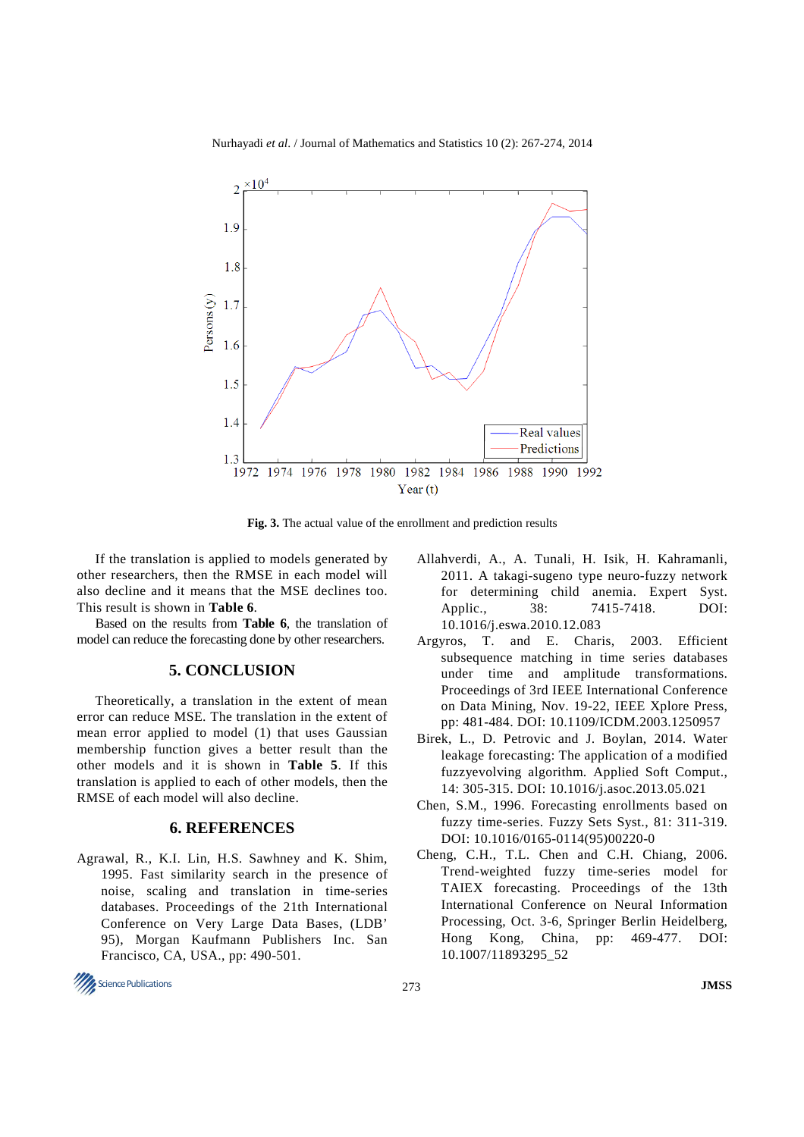

Nurhayadi *et al*. / Journal of Mathematics and Statistics 10 (2): 267-274, 2014

**Fig. 3.** The actual value of the enrollment and prediction results

If the translation is applied to models generated by other researchers, then the RMSE in each model will also decline and it means that the MSE declines too. This result is shown in **Table 6**.

Based on the results from **Table 6**, the translation of model can reduce the forecasting done by other researchers.

#### **5. CONCLUSION**

Theoretically, a translation in the extent of mean error can reduce MSE. The translation in the extent of mean error applied to model (1) that uses Gaussian membership function gives a better result than the other models and it is shown in **Table 5**. If this translation is applied to each of other models, then the RMSE of each model will also decline.

## **6. REFERENCES**

- Agrawal, R., K.I. Lin, H.S. Sawhney and K. Shim, 1995. Fast similarity search in the presence of noise, scaling and translation in time-series databases. Proceedings of the 21th International Conference on Very Large Data Bases, (LDB' 95), Morgan Kaufmann Publishers Inc. San Francisco, CA, USA., pp: 490-501.
- Science Publications **JMSS**
- Allahverdi, A., A. Tunali, H. Isik, H. Kahramanli, 2011. A takagi-sugeno type neuro-fuzzy network for determining child anemia. Expert Syst. Applic., 38: 7415-7418. DOI: 10.1016/j.eswa.2010.12.083
- Argyros, T. and E. Charis, 2003. Efficient subsequence matching in time series databases under time and amplitude transformations. Proceedings of 3rd IEEE International Conference on Data Mining, Nov. 19-22, IEEE Xplore Press, pp: 481-484. DOI: 10.1109/ICDM.2003.1250957
- Birek, L., D. Petrovic and J. Boylan, 2014. Water leakage forecasting: The application of a modified fuzzyevolving algorithm. Applied Soft Comput., 14: 305-315. DOI: 10.1016/j.asoc.2013.05.021
- Chen, S.M., 1996. Forecasting enrollments based on fuzzy time-series. Fuzzy Sets Syst., 81: 311-319. DOI: 10.1016/0165-0114(95)00220-0
- Cheng, C.H., T.L. Chen and C.H. Chiang, 2006. Trend-weighted fuzzy time-series model for TAIEX forecasting. Proceedings of the 13th International Conference on Neural Information Processing, Oct. 3-6, Springer Berlin Heidelberg, Hong Kong, China, pp: 469-477. DOI: 10.1007/11893295\_52